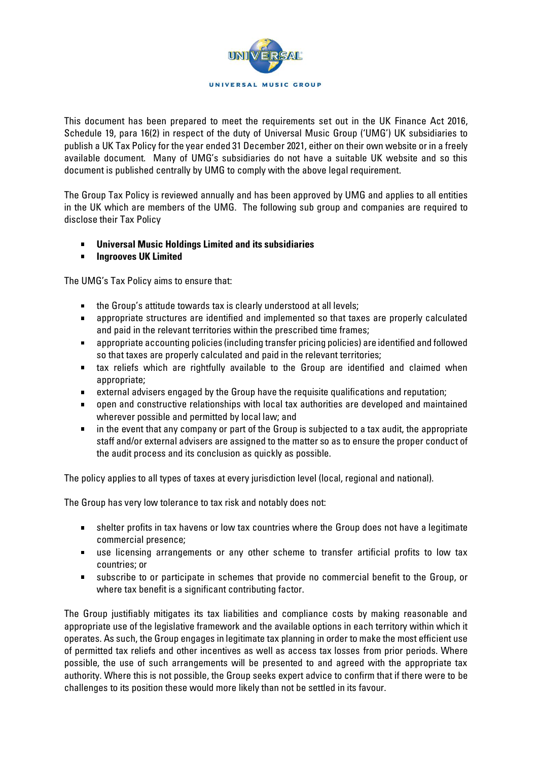

This document has been prepared to meet the requirements set out in the UK Finance Act 2016, Schedule 19, para 16(2) in respect of the duty of Universal Music Group ('UMG') UK subsidiaries to publish a UK Tax Policy for the year ended 31 December 2021, either on their own website or in a freely available document. Many of UMG's subsidiaries do not have a suitable UK website and so this document is published centrally by UMG to comply with the above legal requirement.

The Group Tax Policy is reviewed annually and has been approved by UMG and applies to all entities in the UK which are members of the UMG. The following sub group and companies are required to disclose their Tax Policy

- $\blacksquare$ **Universal Music Holdings Limited and its subsidiaries**
- $\mathbf{u}$  . **Ingrooves UK Limited**

The UMG's Tax Policy aims to ensure that:

- **the Group's attitude towards tax is clearly understood at all levels;**
- appropriate structures are identified and implemented so that taxes are properly calculated and paid in the relevant territories within the prescribed time frames;
- appropriate accounting policies (including transfer pricing policies) are identified and followed so that taxes are properly calculated and paid in the relevant territories;
- tax reliefs which are rightfully available to the Group are identified and claimed when appropriate;
- external advisers engaged by the Group have the requisite qualifications and reputation;
- open and constructive relationships with local tax authorities are developed and maintained wherever possible and permitted by local law; and
- in the event that any company or part of the Group is subjected to a tax audit, the appropriate staff and/or external advisers are assigned to the matter so as to ensure the proper conduct of the audit process and its conclusion as quickly as possible.

The policy applies to all types of taxes at every jurisdiction level (local, regional and national).

The Group has very low tolerance to tax risk and notably does not:

- shelter profits in tax havens or low tax countries where the Group does not have a legitimate commercial presence;
- use licensing arrangements or any other scheme to transfer artificial profits to low tax countries; or
- subscribe to or participate in schemes that provide no commercial benefit to the Group, or  $\mathbf{u}$  . where tax benefit is a significant contributing factor.

The Group justifiably mitigates its tax liabilities and compliance costs by making reasonable and appropriate use of the legislative framework and the available options in each territory within which it operates. As such, the Group engages in legitimate tax planning in order to make the most efficient use of permitted tax reliefs and other incentives as well as access tax losses from prior periods. Where possible, the use of such arrangements will be presented to and agreed with the appropriate tax authority. Where this is not possible, the Group seeks expert advice to confirm that if there were to be challenges to its position these would more likely than not be settled in its favour.